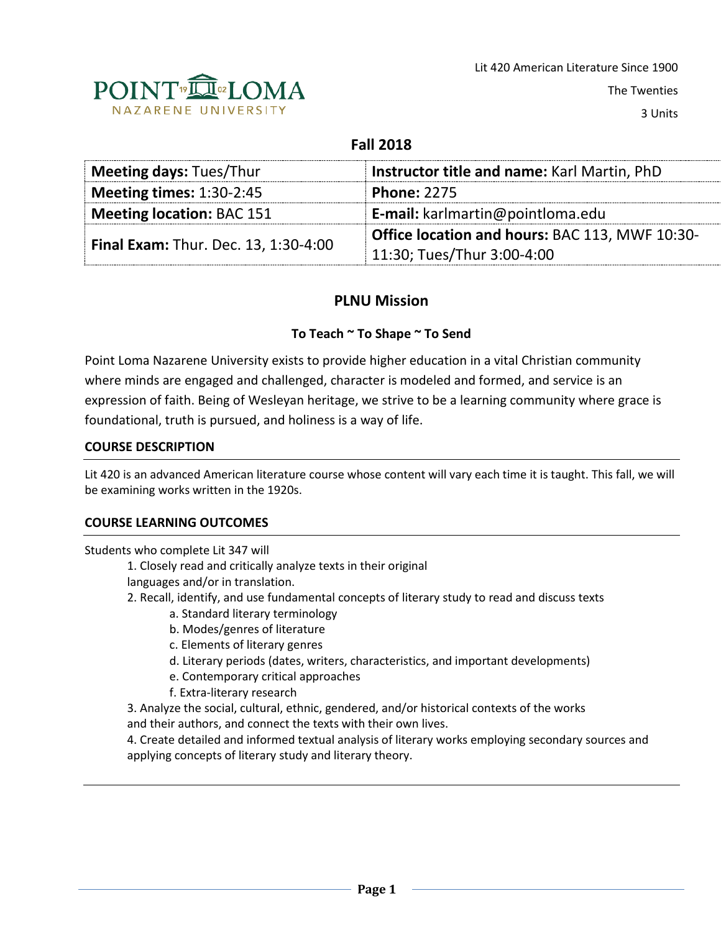

The Twenties

3 Units

# **Fall 2018**

| <b>Meeting days: Tues/Thur</b>              | Instructor title and name: Karl Martin, PhD    |  |
|---------------------------------------------|------------------------------------------------|--|
| <b>Meeting times: 1:30-2:45</b>             | <b>Phone: 2275</b>                             |  |
| <b>Meeting location: BAC 151</b>            | E-mail: karlmartin@pointloma.edu               |  |
| <b>Final Exam: Thur. Dec. 13, 1:30-4:00</b> | Office location and hours: BAC 113, MWF 10:30- |  |
|                                             | 11:30; Tues/Thur 3:00-4:00                     |  |

# **PLNU Mission**

# **To Teach ~ To Shape ~ To Send**

Point Loma Nazarene University exists to provide higher education in a vital Christian community where minds are engaged and challenged, character is modeled and formed, and service is an expression of faith. Being of Wesleyan heritage, we strive to be a learning community where grace is foundational, truth is pursued, and holiness is a way of life.

### **COURSE DESCRIPTION**

Lit 420 is an advanced American literature course whose content will vary each time it is taught. This fall, we will be examining works written in the 1920s.

### **COURSE LEARNING OUTCOMES**

Students who complete Lit 347 will

1. Closely read and critically analyze texts in their original

- languages and/or in translation.
- 2. Recall, identify, and use fundamental concepts of literary study to read and discuss texts
	- a. Standard literary terminology
	- b. Modes/genres of literature
	- c. Elements of literary genres
	- d. Literary periods (dates, writers, characteristics, and important developments)
	- e. Contemporary critical approaches
	- f. Extra-literary research
- 3. Analyze the social, cultural, ethnic, gendered, and/or historical contexts of the works and their authors, and connect the texts with their own lives.

4. Create detailed and informed textual analysis of literary works employing secondary sources and applying concepts of literary study and literary theory.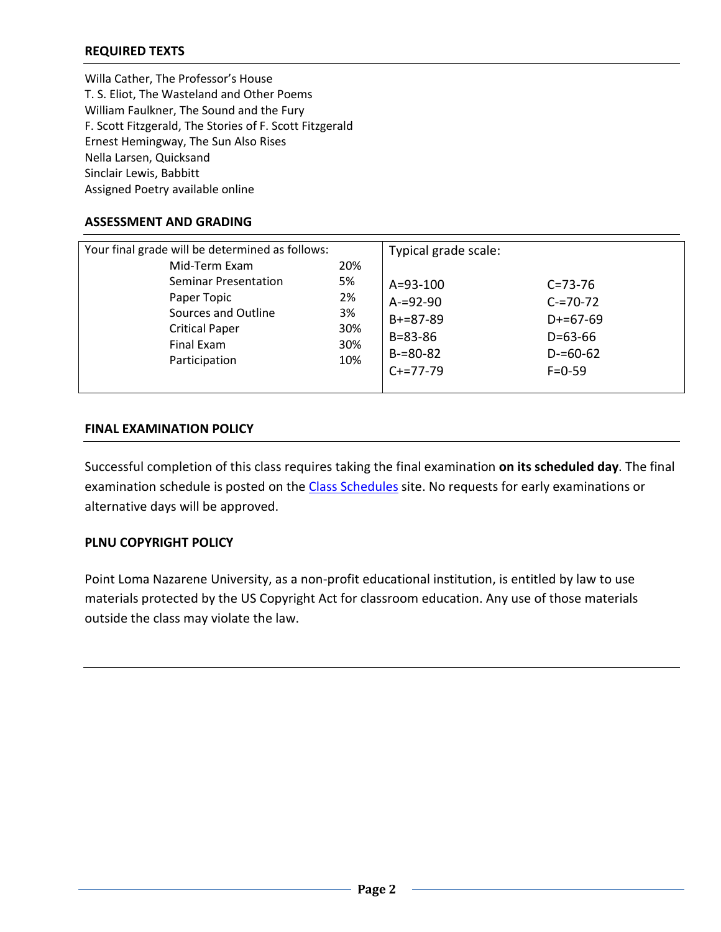# **REQUIRED TEXTS**

Willa Cather, The Professor's House T. S. Eliot, The Wasteland and Other Poems William Faulkner, The Sound and the Fury F. Scott Fitzgerald, The Stories of F. Scott Fitzgerald Ernest Hemingway, The Sun Also Rises Nella Larsen, Quicksand Sinclair Lewis, Babbitt Assigned Poetry available online

#### **ASSESSMENT AND GRADING**

| Your final grade will be determined as follows: |     | Typical grade scale: |               |
|-------------------------------------------------|-----|----------------------|---------------|
| Mid-Term Exam                                   | 20% |                      |               |
| <b>Seminar Presentation</b>                     | 5%  | $A = 93 - 100$       | $C = 73 - 76$ |
| Paper Topic                                     | 2%  | $A = 92 - 90$        | $C = 70 - 72$ |
| Sources and Outline                             | 3%  | $B+=87-89$           | $D+=67-69$    |
| <b>Critical Paper</b>                           | 30% | $B = 83 - 86$        | $D=63-66$     |
| Final Exam                                      | 30% |                      |               |
| Participation                                   | 10% | $B = 80 - 82$        | $D = 60 - 62$ |
|                                                 |     | $C+=77-79$           | $F = 0.59$    |
|                                                 |     |                      |               |

#### **FINAL EXAMINATION POLICY**

Successful completion of this class requires taking the final examination **on its scheduled day**. The final examination schedule is posted on the [Class Schedules](http://www.pointloma.edu/experience/academics/class-schedules) site. No requests for early examinations or alternative days will be approved.

### **PLNU COPYRIGHT POLICY**

Point Loma Nazarene University, as a non-profit educational institution, is entitled by law to use materials protected by the US Copyright Act for classroom education. Any use of those materials outside the class may violate the law.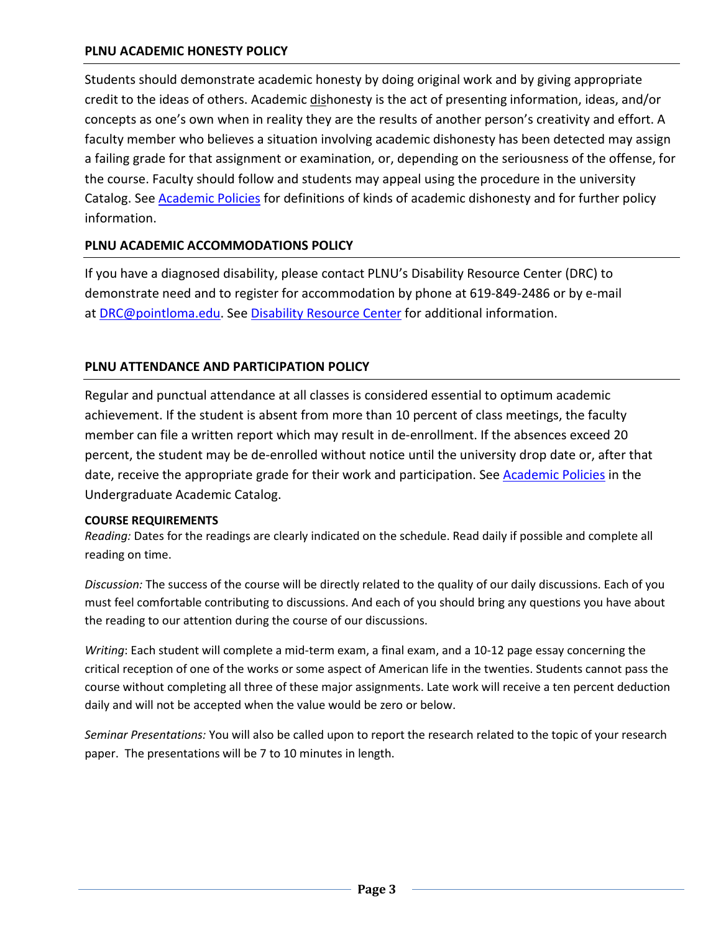# **PLNU ACADEMIC HONESTY POLICY**

Students should demonstrate academic honesty by doing original work and by giving appropriate credit to the ideas of others. Academic dishonesty is the act of presenting information, ideas, and/or concepts as one's own when in reality they are the results of another person's creativity and effort. A faculty member who believes a situation involving academic dishonesty has been detected may assign a failing grade for that assignment or examination, or, depending on the seriousness of the offense, for the course. Faculty should follow and students may appeal using the procedure in the university Catalog. See [Academic Policies](http://catalog.pointloma.edu/content.php?catoid=18&navoid=1278) for definitions of kinds of academic dishonesty and for further policy information.

# **PLNU ACADEMIC ACCOMMODATIONS POLICY**

If you have a diagnosed disability, please contact PLNU's Disability Resource Center (DRC) to demonstrate need and to register for accommodation by phone at 619-849-2486 or by e-mail at [DRC@pointloma.edu.](mailto:DRC@pointloma.edu) See [Disability Resource Center](http://www.pointloma.edu/experience/offices/administrative-offices/academic-advising-office/disability-resource-center) for additional information.

# **PLNU ATTENDANCE AND PARTICIPATION POLICY**

Regular and punctual attendance at all classes is considered essential to optimum academic achievement. If the student is absent from more than 10 percent of class meetings, the faculty member can file a written report which may result in de-enrollment. If the absences exceed 20 percent, the student may be de-enrolled without notice until the university drop date or, after that date, receive the appropriate grade for their work and participation. See [Academic Policies](http://catalog.pointloma.edu/content.php?catoid=18&navoid=1278) in the Undergraduate Academic Catalog.

#### **COURSE REQUIREMENTS**

*Reading:* Dates for the readings are clearly indicated on the schedule. Read daily if possible and complete all reading on time.

*Discussion:* The success of the course will be directly related to the quality of our daily discussions. Each of you must feel comfortable contributing to discussions. And each of you should bring any questions you have about the reading to our attention during the course of our discussions.

*Writing*: Each student will complete a mid-term exam, a final exam, and a 10-12 page essay concerning the critical reception of one of the works or some aspect of American life in the twenties. Students cannot pass the course without completing all three of these major assignments. Late work will receive a ten percent deduction daily and will not be accepted when the value would be zero or below.

*Seminar Presentations:* You will also be called upon to report the research related to the topic of your research paper. The presentations will be 7 to 10 minutes in length.